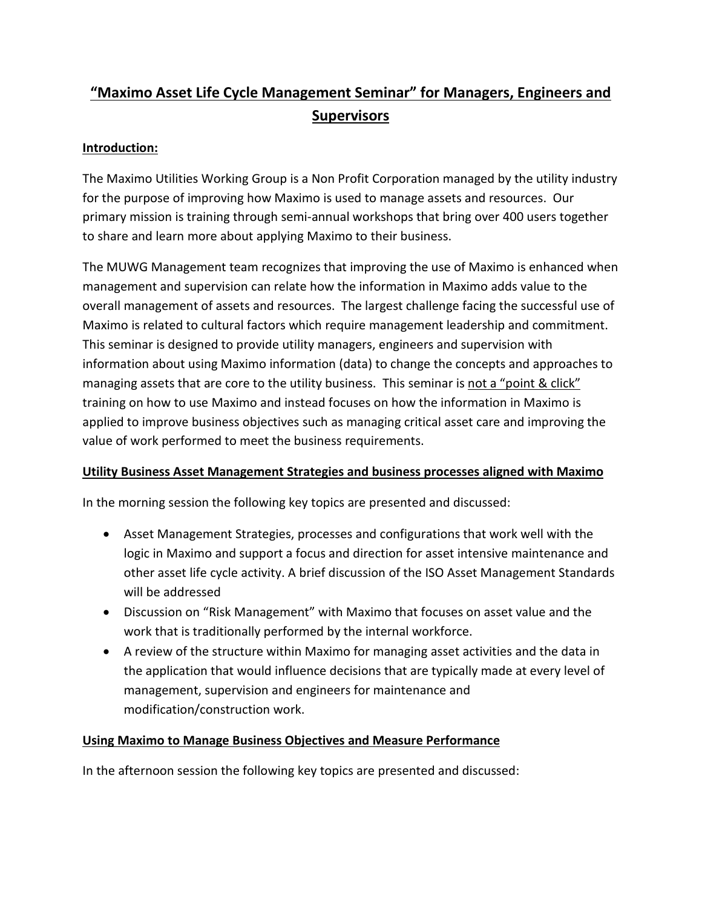## **"Maximo Asset Life Cycle Management Seminar" for Managers, Engineers and Supervisors**

## **Introduction:**

The Maximo Utilities Working Group is a Non Profit Corporation managed by the utility industry for the purpose of improving how Maximo is used to manage assets and resources. Our primary mission is training through semi-annual workshops that bring over 400 users together to share and learn more about applying Maximo to their business.

The MUWG Management team recognizes that improving the use of Maximo is enhanced when management and supervision can relate how the information in Maximo adds value to the overall management of assets and resources. The largest challenge facing the successful use of Maximo is related to cultural factors which require management leadership and commitment. This seminar is designed to provide utility managers, engineers and supervision with information about using Maximo information (data) to change the concepts and approaches to managing assets that are core to the utility business. This seminar is not a "point & click" training on how to use Maximo and instead focuses on how the information in Maximo is applied to improve business objectives such as managing critical asset care and improving the value of work performed to meet the business requirements.

## **Utility Business Asset Management Strategies and business processes aligned with Maximo**

In the morning session the following key topics are presented and discussed:

- Asset Management Strategies, processes and configurations that work well with the logic in Maximo and support a focus and direction for asset intensive maintenance and other asset life cycle activity. A brief discussion of the ISO Asset Management Standards will be addressed
- Discussion on "Risk Management" with Maximo that focuses on asset value and the work that is traditionally performed by the internal workforce.
- A review of the structure within Maximo for managing asset activities and the data in the application that would influence decisions that are typically made at every level of management, supervision and engineers for maintenance and modification/construction work.

## **Using Maximo to Manage Business Objectives and Measure Performance**

In the afternoon session the following key topics are presented and discussed: